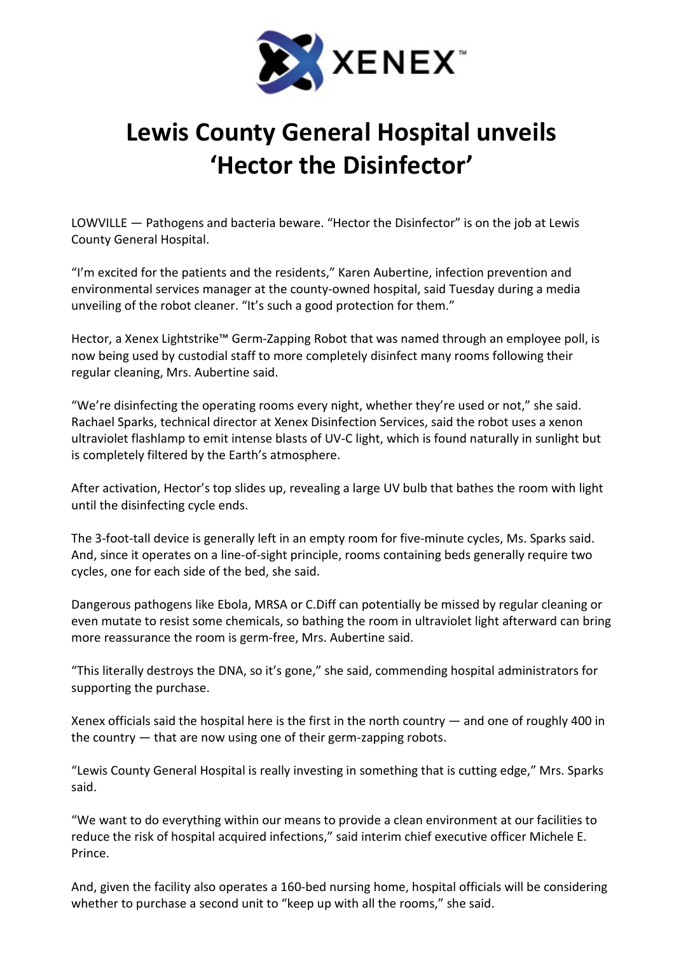

## Lewis County General Hospital unveils 'Hector the Disinfector'

LOWVILLE — Pathogens and bacteria beware. "Hector the Disinfector" is on the job at Lewis County General Hospital.

"I'm excited for the patients and the residents," Karen Aubertine, infection prevention and environmental services manager at the county-owned hospital, said Tuesday during a media unveiling of the robot cleaner. "It's such a good protection for them."

Hector, a Xenex Lightstrike™ Germ-Zapping Robot that was named through an employee poll, is now being used by custodial staff to more completely disinfect many rooms following their regular cleaning, Mrs. Aubertine said.

"We're disinfecting the operating rooms every night, whether they're used or not," she said. Rachael Sparks, technical director at Xenex Disinfection Services, said the robot uses a xenon ultraviolet flashlamp to emit intense blasts of UV-C light, which is found naturally in sunlight but is completely filtered by the Earth's atmosphere.

After activation, Hector's top slides up, revealing a large UV bulb that bathes the room with light until the disinfecting cycle ends.

The 3-foot-tall device is generally left in an empty room for five-minute cycles, Ms. Sparks said. And, since it operates on a line-of-sight principle, rooms containing beds generally require two cycles, one for each side of the bed, she said.

Dangerous pathogens like Ebola, MRSA or C.Diff can potentially be missed by regular cleaning or even mutate to resist some chemicals, so bathing the room in ultraviolet light afterward can bring more reassurance the room is germ-free, Mrs. Aubertine said.

"This literally destroys the DNA, so it's gone," she said, commending hospital administrators for supporting the purchase.

Xenex officials said the hospital here is the first in the north country  $-$  and one of roughly 400 in the country — that are now using one of their germ-zapping robots.

"Lewis County General Hospital is really investing in something that is cutting edge," Mrs. Sparks said.

"We want to do everything within our means to provide a clean environment at our facilities to reduce the risk of hospital acquired infections," said interim chief executive officer Michele E. Prince.

And, given the facility also operates a 160-bed nursing home, hospital officials will be considering whether to purchase a second unit to "keep up with all the rooms," she said.